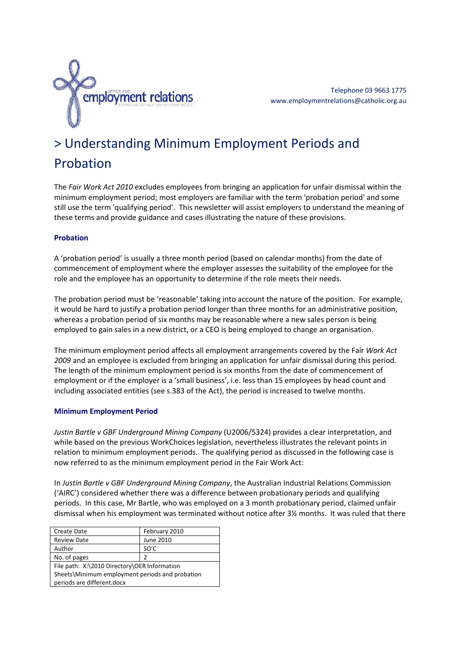

# > Understanding Minimum Employment Periods and Probation

The *Fair Work Act 2010* excludes employees from bringing an application for unfair dismissal within the minimum employment period; most employers are familiar with the term 'probation period' and some still use the term 'qualifying period'. This newsletter will assist employers to understand the meaning of these terms and provide guidance and cases illustrating the nature of these provisions.

## **Probation**

A 'probation period' is usually a three month period (based on calendar months) from the date of commencement of employment where the employer assesses the suitability of the employee for the role and the employee has an opportunity to determine if the role meets their needs.

The probation period must be 'reasonable' taking into account the nature of the position. For example, it would be hard to justify a probation period longer than three months for an administrative position, whereas a probation period of six months may be reasonable where a new sales person is being employed to gain sales in a new district, or a CEO is being employed to change an organisation.

The minimum employment period affects all employment arrangements covered by the Fair *Work Act 2009* and an employee is excluded from bringing an application for unfair dismissal during this period. The length of the minimum employment period is six months from the date of commencement of employment or if the employer is a 'small business', i.e. less than 15 employees by head count and including associated entities (see s.383 of the Act), the period is increased to twelve months.

### **Minimum Employment Period**

*Justin Bartle v GBF Underground Mining Company* (U2006/5324) provides a clear interpretation, and while based on the previous WorkChoices legislation, nevertheless illustrates the relevant points in relation to minimum employment periods. The qualifying period as discussed in the following case is now referred to as the minimum employment period in the Fair Work Act:

In *Justin Bartle v GBF Underground Mining Company*, the Australian Industrial Relations Commission ('AIRC') considered whether there was a difference between probationary periods and qualifying periods. In this case, Mr Bartle, who was employed on a 3 month probationary period, claimed unfair dismissal when his employment was terminated without notice after 3½ months. It was ruled that there

| <b>Create Date</b>                              | February 2010 |
|-------------------------------------------------|---------------|
| <b>Review Date</b>                              | June 2010     |
| Author                                          | SO'C          |
| No. of pages                                    | 2             |
| File path: X:\2010 Directory\OER Information    |               |
| Sheets\Minimum employment periods and probation |               |
| periods are different.docx                      |               |
|                                                 |               |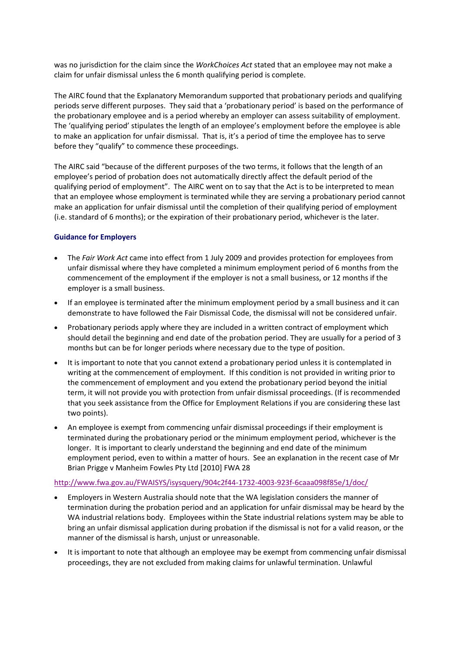was no jurisdiction for the claim since the *WorkChoices Act* stated that an employee may not make a claim for unfair dismissal unless the 6 month qualifying period is complete.

The AIRC found that the Explanatory Memorandum supported that probationary periods and qualifying periods serve different purposes. They said that a 'probationary period' is based on the performance of the probationary employee and is a period whereby an employer can assess suitability of employment. The 'qualifying period' stipulates the length of an employee's employment before the employee is able to make an application for unfair dismissal. That is, it's a period of time the employee has to serve before they "qualify" to commence these proceedings.

The AIRC said "because of the different purposes of the two terms, it follows that the length of an employee's period of probation does not automatically directly affect the default period of the qualifying period of employment". The AIRC went on to say that the Act is to be interpreted to mean that an employee whose employment is terminated while they are serving a probationary period cannot make an application for unfair dismissal until the completion of their qualifying period of employment (i.e. standard of 6 months); or the expiration of their probationary period, whichever is the later.

### **Guidance for Employers**

- The *Fair Work Act* came into effect from 1 July 2009 and provides protection for employees from unfair dismissal where they have completed a minimum employment period of 6 months from the commencement of the employment if the employer is not a small business, or 12 months if the employer is a small business.
- If an employee is terminated after the minimum employment period by a small business and it can demonstrate to have followed the Fair Dismissal Code, the dismissal will not be considered unfair.
- Probationary periods apply where they are included in a written contract of employment which should detail the beginning and end date of the probation period. They are usually for a period of 3 months but can be for longer periods where necessary due to the type of position.
- It is important to note that you cannot extend a probationary period unless it is contemplated in writing at the commencement of employment. If this condition is not provided in writing prior to the commencement of employment and you extend the probationary period beyond the initial term, it will not provide you with protection from unfair dismissal proceedings. (If is recommended that you seek assistance from the Office for Employment Relations if you are considering these last two points).
- An employee is exempt from commencing unfair dismissal proceedings if their employment is terminated during the probationary period or the minimum employment period, whichever is the longer. It is important to clearly understand the beginning and end date of the minimum employment period, even to within a matter of hours. See an explanation in the recent case of Mr Brian Prigge v Manheim Fowles Pty Ltd [2010] FWA 28

### http://www.fwa.gov.au/FWAISYS/isysquery/904c2f44‐1732‐4003‐923f‐6caaa098f85e/1/doc/

- Employers in Western Australia should note that the WA legislation considers the manner of termination during the probation period and an application for unfair dismissal may be heard by the WA industrial relations body. Employees within the State industrial relations system may be able to bring an unfair dismissal application during probation if the dismissal is not for a valid reason, or the manner of the dismissal is harsh, unjust or unreasonable.
- It is important to note that although an employee may be exempt from commencing unfair dismissal proceedings, they are not excluded from making claims for unlawful termination. Unlawful